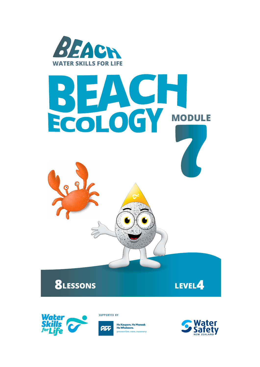







**SUPPORTED BY** 



He Kaupare. He Manaak<br>He Whakaora. prevention.care.recovery

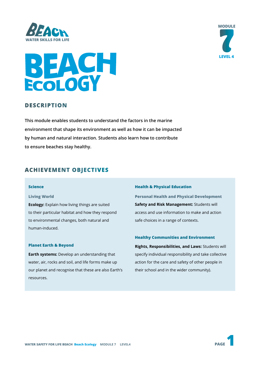



# **BEACH**

# **DESCRIPTION**

**This module enables students to understand the factors in the marine environment that shape its environment as well as how it can be impacted by human and natural interaction. Students also learn how to contribute to ensure beaches stay healthy.**

# **ACHIEVEMENT OBJECTIVES**

#### **Science**

#### **Living World**

**Ecology:** Explain how living things are suited to their particular habitat and how they respond to environmental changes, both natural and human-induced.

#### **Planet Earth & Beyond**

**Earth systems:** Develop an understanding that water, air, rocks and soil, and life forms make up our planet and recognise that these are also Earth's resources.

#### **Health & Physical Education**

**Personal Health and Physical Development Safety and Risk Management:** Students will access and use information to make and action safe choices in a range of contexts.

#### **Healthy Communities and Environment**

**Rights, Responsibilities, and Laws:** Students will specify individual responsibility and take collective action for the care and safety of other people in their school and in the wider community).

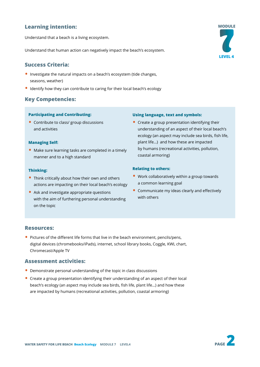# **Learning intention:**

Understand that a beach is a living ecosystem.

Understand that human action can negatively impact the beach's ecosystem.

# **Success Criteria:**

- Investigate the natural impacts on a beach's ecosystem (tide changes, seasons, weather)
- Identify how they can contribute to caring for their local beach's ecology

# **Key Competencies:**

#### **Participating and Contributing:**

• Contribute to class/ group discussions and activities

#### **Managing Self:**

• Make sure learning tasks are completed in a timely manner and to a high standard

#### **Thinking:**

- Think critically about how their own and others actions are impacting on their local beach's ecology
- Ask and investigate appropriate questions with the aim of furthering personal understanding on the topic

#### **Using language, text and symbols:**

• Create a group presentation identifying their understanding of an aspect of their local beach's ecology (an aspect may include sea birds, fish life, plant life…) and how these are impacted by humans (recreational activities, pollution, coastal armoring)

#### **Relating to others:**

- Work collaboratively within a group towards a common learning goal
- Communicate my ideas clearly and effectively with others

## **Resources:**

• Pictures of the different life forms that live in the beach environment, pencils/pens, digital devices (chromebooks/iPads), internet, school library books, Coggle, KWL chart, Chromecast/Apple TV

#### **Assessment activities:**

- Demonstrate personal understanding of the topic in class discussions
- Create a group presentation identifying their understanding of an aspect of their local beach's ecology (an aspect may include sea birds, fish life, plant life…) and how these are impacted by humans (recreational activities, pollution, coastal armoring)



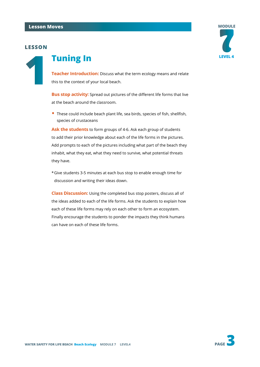# **LESSON**



# **1 Tuning In**

**Teacher Introduction:** Discuss what the term ecology means and relate this to the context of your local beach.

**Bus stop activity:** Spread out pictures of the different life forms that live at the beach around the classroom.

• These could include beach plant life, sea birds, species of fish, shellfish, species of crustaceans

**Ask the students** to form groups of 4-6. Ask each group of students to add their prior knowledge about each of the life forms in the pictures. Add prompts to each of the pictures including what part of the beach they inhabit, what they eat, what they need to survive, what potential threats they have.

\*Give students 3-5 minutes at each bus stop to enable enough time for discussion and writing their ideas down.

**Class Discussion:** Using the completed bus stop posters, discuss all of the ideas added to each of the life forms. Ask the students to explain how each of these life forms may rely on each other to form an ecosystem. Finally encourage the students to ponder the impacts they think humans can have on each of these life forms.

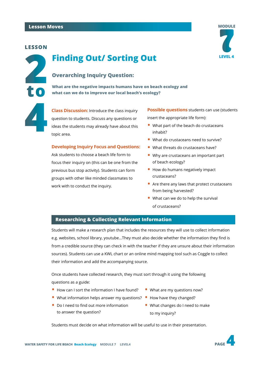## **LESSON**

**to**



# **Overarching Inquiry Question:**

**What are the negative impacts humans have on beach ecology and what can we do to improve our local beach's ecology?**

**44 <b>Class Discussion:** Introduce the class inquiry question to students. Discuss any questions or ideas the students may already have about this topic area. question to students. Discuss any questions or ideas the students may already have about this topic area.

#### **Developing Inquiry Focus and Questions:**

Ask students to choose a beach life form to focus their inquiry on (this can be one from the previous bus stop activity). Students can form groups with other like minded classmates to work with to conduct the inquiry.

**Possible questions** students can use (students insert the appropriate life form):

- What part of the beach do crustaceans inhabit?
- What do crustaceans need to survive?
- What threats do crustaceans have?
- Why are crustaceans an important part of beach ecology?
- How do humans negatively impact crustaceans?
- Are there any laws that protect crustaceans from being harvested?
- What can we do to help the survival of crustaceans?

# **Researching & Collecting Relevant Information**

Students will make a research plan that includes the resources they will use to collect information e.g. websites, school library, youtube...They must also decide whether the information they find is from a credible source (they can check in with the teacher if they are unsure about their information sources). Students can use a KWL chart or an online mind mapping tool such as Coggle to collect their information and add the accompanying source.

Once students have collected research, they must sort through it using the following questions as a guide:

- How can I sort the information I have found?
- What information helps answer my questions? How have they changed?
- Do I need to find out more information to answer the question?
- What are my questions now?
	-
- What changes do I need to make to my inquiry?

Students must decide on what information will be useful to use in their presentation.